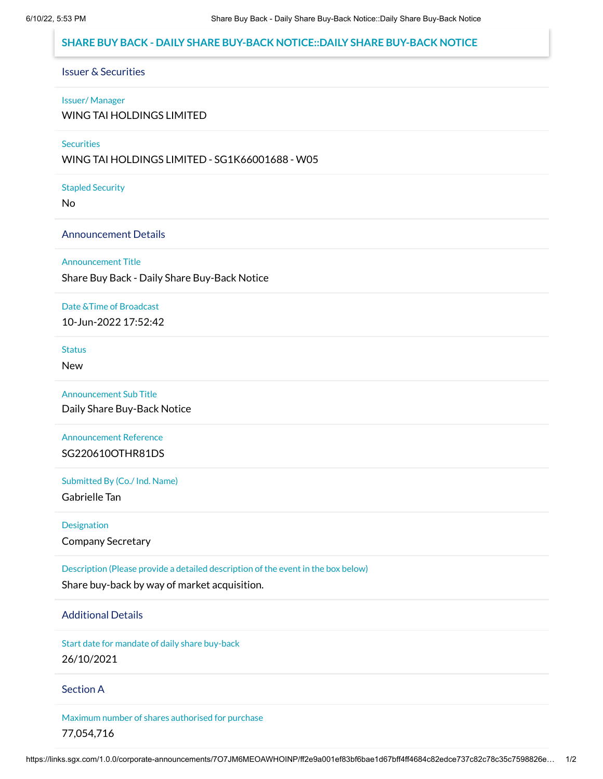# **SHARE BUY BACK - DAILY SHARE BUY-BACK NOTICE::DAILY SHARE BUY-BACK NOTICE**

# Issuer & Securities

#### Issuer/ Manager

WING TAI HOLDINGS LIMITED

## **Securities**

WING TAI HOLDINGS LIMITED - SG1K66001688 - W05

#### Stapled Security

No

## Announcement Details

#### Announcement Title

Share Buy Back - Daily Share Buy-Back Notice

#### Date &Time of Broadcast

10-Jun-2022 17:52:42

#### **Status**

New

#### Announcement Sub Title

Daily Share Buy-Back Notice

# Announcement Reference SG220610OTHR81DS

# Submitted By (Co./ Ind. Name)

Gabrielle Tan

#### **Designation**

Company Secretary

# Description (Please provide a detailed description of the event in the box below)

Share buy-back by way of market acquisition.

#### Additional Details

Start date for mandate of daily share buy-back 26/10/2021

#### Section A

Maximum number of shares authorised for purchase 77,054,716